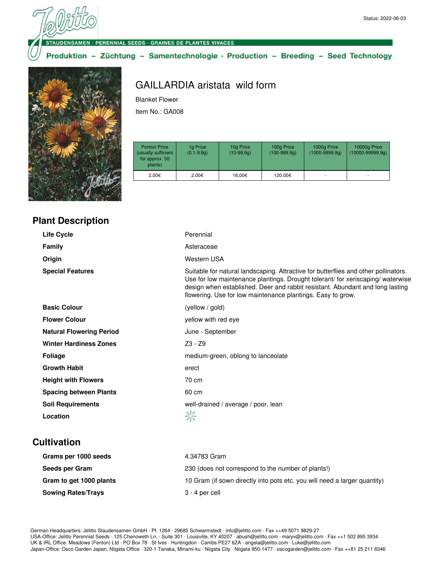#### UDENSAMEN · PERENNIAL SEEDS · GRAINES DE PLANTES VIVACES

Produktion - Züchtung - Samentechnologie · Production - Breeding - Seed Technology



# GAILLARDIA aristata wild form

Blanket Flower

Item No.: GA008

| <b>Portion Price</b><br>(usually sufficient<br>for approx. 50<br>plants) | 1g Price<br>$(0.1 - 9.9q)$ | 10g Price<br>$(10-99.9q)$ | 100g Price<br>$(100-999.9q)$ | 1000g Price<br>$(1000 - 9999.9q)$ | 10000g Price<br>$(10000 - 99999.9q)$ |
|--------------------------------------------------------------------------|----------------------------|---------------------------|------------------------------|-----------------------------------|--------------------------------------|
| 2.00€                                                                    | 2.00€                      | 16.00€                    | 120.00€                      | ۰                                 | ۰                                    |

| <b>Life Cycle</b>               | Perennial                                                                                                                                                                                                                                                                                                              |
|---------------------------------|------------------------------------------------------------------------------------------------------------------------------------------------------------------------------------------------------------------------------------------------------------------------------------------------------------------------|
| <b>Family</b>                   | Asteraceae                                                                                                                                                                                                                                                                                                             |
| Origin                          | Western USA                                                                                                                                                                                                                                                                                                            |
| <b>Special Features</b>         | Suitable for natural landscaping. Attractive for butterflies and other pollinators.<br>Use for low maintenance plantings. Drought tolerant/ for xeriscaping/ waterwise<br>design when established. Deer and rabbit resistant. Abundant and long lasting<br>flowering. Use for low maintenance plantings. Easy to grow. |
| <b>Basic Colour</b>             | (yellow / gold)                                                                                                                                                                                                                                                                                                        |
| <b>Flower Colour</b>            | yellow with red eye                                                                                                                                                                                                                                                                                                    |
| <b>Natural Flowering Period</b> | June - September                                                                                                                                                                                                                                                                                                       |
| <b>Winter Hardiness Zones</b>   | $Z3 - Z9$                                                                                                                                                                                                                                                                                                              |
| <b>Foliage</b>                  | medium-green, oblong to lanceolate                                                                                                                                                                                                                                                                                     |
| <b>Growth Habit</b>             | erect                                                                                                                                                                                                                                                                                                                  |
| <b>Height with Flowers</b>      | 70 cm                                                                                                                                                                                                                                                                                                                  |
| <b>Spacing between Plants</b>   | 60 cm                                                                                                                                                                                                                                                                                                                  |
| <b>Soil Requirements</b>        | well-drained / average / poor, lean                                                                                                                                                                                                                                                                                    |
| Location                        | ☆                                                                                                                                                                                                                                                                                                                      |
|                                 |                                                                                                                                                                                                                                                                                                                        |

# **Cultivation**

| Grams per 1000 seeds      | 4.34783 Gram                                                              |
|---------------------------|---------------------------------------------------------------------------|
| Seeds per Gram            | 230 (does not correspond to the number of plants!)                        |
| Gram to get 1000 plants   | 10 Gram (if sown directly into pots etc. you will need a larger quantity) |
| <b>Sowing Rates/Trays</b> | 3 - 4 per cell                                                            |